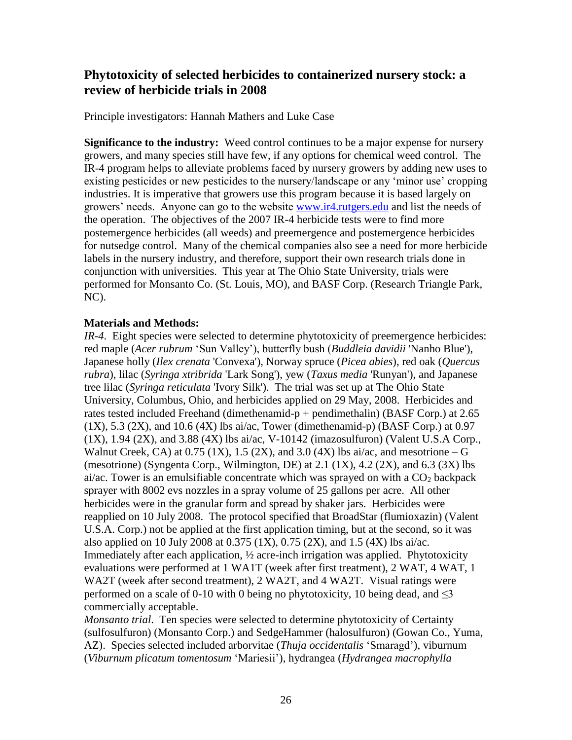# **Phytotoxicity of selected herbicides to containerized nursery stock: a review of herbicide trials in 2008**

Principle investigators: Hannah Mathers and Luke Case

**Significance to the industry:** Weed control continues to be a major expense for nursery growers, and many species still have few, if any options for chemical weed control. The IR-4 program helps to alleviate problems faced by nursery growers by adding new uses to existing pesticides or new pesticides to the nursery/landscape or any 'minor use' cropping industries. It is imperative that growers use this program because it is based largely on growers' needs. Anyone can go to the website [www.ir4.rutgers.edu](http://www.ir4.rutgers.edu/) and list the needs of the operation. The objectives of the 2007 IR-4 herbicide tests were to find more postemergence herbicides (all weeds) and preemergence and postemergence herbicides for nutsedge control. Many of the chemical companies also see a need for more herbicide labels in the nursery industry, and therefore, support their own research trials done in conjunction with universities. This year at The Ohio State University, trials were performed for Monsanto Co. (St. Louis, MO), and BASF Corp. (Research Triangle Park, NC).

### **Materials and Methods:**

*IR-4*. Eight species were selected to determine phytotoxicity of preemergence herbicides: red maple (*Acer rubrum* 'Sun Valley'), butterfly bush (*Buddleia davidii* 'Nanho Blue'), Japanese holly (*Ilex crenata* 'Convexa'), Norway spruce (*Picea abies*), red oak (*Quercus rubra*), lilac (*Syringa xtribrida* 'Lark Song'), yew (*Taxus media* 'Runyan'), and Japanese tree lilac (*Syringa reticulata* 'Ivory Silk'). The trial was set up at The Ohio State University, Columbus, Ohio, and herbicides applied on 29 May, 2008. Herbicides and rates tested included Freehand (dimethenamid-p + pendimethalin) (BASF Corp.) at 2.65  $(1X)$ , 5.3  $(2X)$ , and 10.6  $(4X)$  lbs ai/ac, Tower (dimethenamid-p) (BASF Corp.) at 0.97  $(1X)$ , 1.94  $(2X)$ , and 3.88  $(4X)$  lbs ai/ac, V-10142 (imazosulfuron) (Valent U.S.A Corp., Walnut Creek, CA) at  $0.75$  (1X), 1.5 (2X), and 3.0 (4X) lbs ai/ac, and mesotrione – G (mesotrione) (Syngenta Corp., Wilmington, DE) at  $2.1 \text{ (1X)}$ ,  $4.2 \text{ (2X)}$ , and  $6.3 \text{ (3X)}$  lbs ai/ac. Tower is an emulsifiable concentrate which was sprayed on with a  $CO<sub>2</sub>$  backpack sprayer with 8002 evs nozzles in a spray volume of 25 gallons per acre. All other herbicides were in the granular form and spread by shaker jars. Herbicides were reapplied on 10 July 2008. The protocol specified that BroadStar (flumioxazin) (Valent U.S.A. Corp.) not be applied at the first application timing, but at the second, so it was also applied on 10 July 2008 at 0.375 (1X), 0.75 (2X), and 1.5 (4X) lbs ai/ac. Immediately after each application, ½ acre-inch irrigation was applied. Phytotoxicity evaluations were performed at 1 WA1T (week after first treatment), 2 WAT, 4 WAT, 1 WA2T (week after second treatment), 2 WA2T, and 4 WA2T. Visual ratings were performed on a scale of 0-10 with 0 being no phytotoxicity, 10 being dead, and  $\leq$ 3 commercially acceptable.

*Monsanto trial*. Ten species were selected to determine phytotoxicity of Certainty (sulfosulfuron) (Monsanto Corp.) and SedgeHammer (halosulfuron) (Gowan Co., Yuma, AZ). Species selected included arborvitae (*Thuja occidentalis* 'Smaragd'), viburnum (*Viburnum plicatum tomentosum* 'Mariesii'), hydrangea (*Hydrangea macrophylla*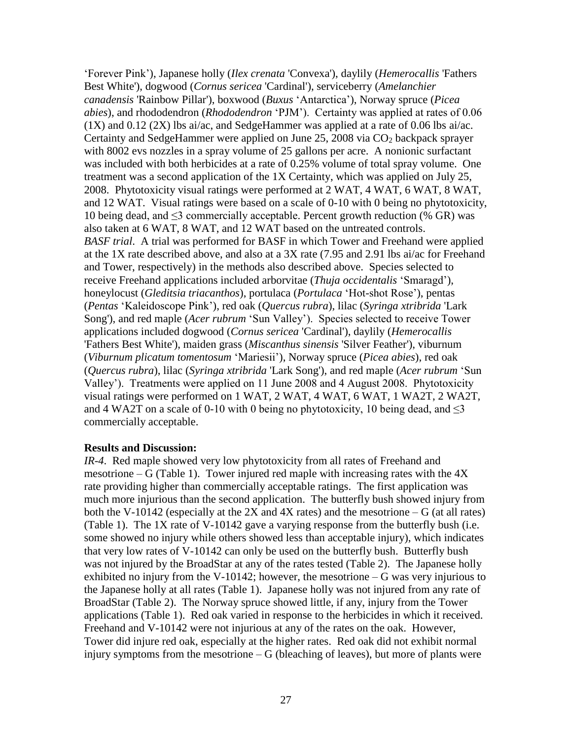'Forever Pink'), Japanese holly (*Ilex crenata* 'Convexa'), daylily (*Hemerocallis* 'Fathers Best White'), dogwood (*Cornus sericea* 'Cardinal'), serviceberry (*Amelanchier canadensis* 'Rainbow Pillar'), boxwood (*Buxus* 'Antarctica'), Norway spruce (*Picea abies*), and rhododendron (*Rhododendron* 'PJM'). Certainty was applied at rates of 0.06  $(1X)$  and  $0.12$   $(2X)$  lbs ai/ac, and SedgeHammer was applied at a rate of 0.06 lbs ai/ac. Certainty and SedgeHammer were applied on June  $25$ ,  $2008$  via  $CO<sub>2</sub>$  backpack sprayer with 8002 evs nozzles in a spray volume of 25 gallons per acre. A nonionic surfactant was included with both herbicides at a rate of 0.25% volume of total spray volume. One treatment was a second application of the 1X Certainty, which was applied on July 25, 2008. Phytotoxicity visual ratings were performed at 2 WAT, 4 WAT, 6 WAT, 8 WAT, and 12 WAT. Visual ratings were based on a scale of 0-10 with 0 being no phytotoxicity, 10 being dead, and  $\leq$ 3 commercially acceptable. Percent growth reduction (% GR) was also taken at 6 WAT, 8 WAT, and 12 WAT based on the untreated controls. *BASF trial*. A trial was performed for BASF in which Tower and Freehand were applied at the 1X rate described above, and also at a 3X rate (7.95 and 2.91 lbs ai/ac for Freehand and Tower, respectively) in the methods also described above. Species selected to receive Freehand applications included arborvitae (*Thuja occidentalis* 'Smaragd'), honeylocust (*Gleditsia triacanthos*), portulaca (*Portulaca* 'Hot-shot Rose'), pentas (*Pentas* 'Kaleidoscope Pink'), red oak (*Quercus rubra*), lilac (*Syringa xtribrida* 'Lark Song'), and red maple (*Acer rubrum* 'Sun Valley'). Species selected to receive Tower applications included dogwood (*Cornus sericea* 'Cardinal'), daylily (*Hemerocallis* 'Fathers Best White'), maiden grass (*Miscanthus sinensis* 'Silver Feather'), viburnum (*Viburnum plicatum tomentosum* 'Mariesii'), Norway spruce (*Picea abies*), red oak (*Quercus rubra*), lilac (*Syringa xtribrida* 'Lark Song'), and red maple (*Acer rubrum* 'Sun Valley'). Treatments were applied on 11 June 2008 and 4 August 2008. Phytotoxicity visual ratings were performed on 1 WAT, 2 WAT, 4 WAT, 6 WAT, 1 WA2T, 2 WA2T, and 4 WA2T on a scale of 0-10 with 0 being no phytotoxicity, 10 being dead, and  $\leq$ 3 commercially acceptable.

#### **Results and Discussion:**

*IR-4*. Red maple showed very low phytotoxicity from all rates of Freehand and mesotrione – G (Table 1). Tower injured red maple with increasing rates with the  $4X$ rate providing higher than commercially acceptable ratings. The first application was much more injurious than the second application. The butterfly bush showed injury from both the V-10142 (especially at the 2X and 4X rates) and the mesotrione  $-G$  (at all rates) (Table 1). The 1X rate of V-10142 gave a varying response from the butterfly bush (i.e. some showed no injury while others showed less than acceptable injury), which indicates that very low rates of V-10142 can only be used on the butterfly bush. Butterfly bush was not injured by the BroadStar at any of the rates tested (Table 2). The Japanese holly exhibited no injury from the V-10142; however, the mesotrione  $-G$  was very injurious to the Japanese holly at all rates (Table 1). Japanese holly was not injured from any rate of BroadStar (Table 2). The Norway spruce showed little, if any, injury from the Tower applications (Table 1). Red oak varied in response to the herbicides in which it received. Freehand and V-10142 were not injurious at any of the rates on the oak. However, Tower did injure red oak, especially at the higher rates. Red oak did not exhibit normal injury symptoms from the mesotrione  $-G$  (bleaching of leaves), but more of plants were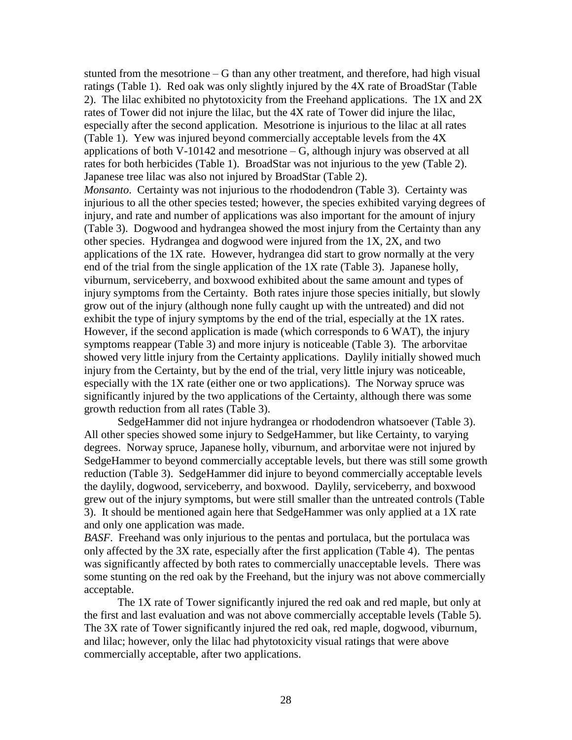stunted from the mesotrione – G than any other treatment, and therefore, had high visual ratings (Table 1). Red oak was only slightly injured by the 4X rate of BroadStar (Table 2). The lilac exhibited no phytotoxicity from the Freehand applications. The 1X and 2X rates of Tower did not injure the lilac, but the 4X rate of Tower did injure the lilac, especially after the second application. Mesotrione is injurious to the lilac at all rates (Table 1). Yew was injured beyond commercially acceptable levels from the 4X applications of both V-10142 and mesotrione  $-G$ , although injury was observed at all rates for both herbicides (Table 1). BroadStar was not injurious to the yew (Table 2). Japanese tree lilac was also not injured by BroadStar (Table 2).

*Monsanto*. Certainty was not injurious to the rhododendron (Table 3). Certainty was injurious to all the other species tested; however, the species exhibited varying degrees of injury, and rate and number of applications was also important for the amount of injury (Table 3). Dogwood and hydrangea showed the most injury from the Certainty than any other species. Hydrangea and dogwood were injured from the 1X, 2X, and two applications of the 1X rate. However, hydrangea did start to grow normally at the very end of the trial from the single application of the 1X rate (Table 3). Japanese holly, viburnum, serviceberry, and boxwood exhibited about the same amount and types of injury symptoms from the Certainty. Both rates injure those species initially, but slowly grow out of the injury (although none fully caught up with the untreated) and did not exhibit the type of injury symptoms by the end of the trial, especially at the 1X rates. However, if the second application is made (which corresponds to 6 WAT), the injury symptoms reappear (Table 3) and more injury is noticeable (Table 3). The arborvitae showed very little injury from the Certainty applications. Daylily initially showed much injury from the Certainty, but by the end of the trial, very little injury was noticeable, especially with the 1X rate (either one or two applications). The Norway spruce was significantly injured by the two applications of the Certainty, although there was some growth reduction from all rates (Table 3).

SedgeHammer did not injure hydrangea or rhododendron whatsoever (Table 3). All other species showed some injury to SedgeHammer, but like Certainty, to varying degrees. Norway spruce, Japanese holly, viburnum, and arborvitae were not injured by SedgeHammer to beyond commercially acceptable levels, but there was still some growth reduction (Table 3). SedgeHammer did injure to beyond commercially acceptable levels the daylily, dogwood, serviceberry, and boxwood. Daylily, serviceberry, and boxwood grew out of the injury symptoms, but were still smaller than the untreated controls (Table 3). It should be mentioned again here that SedgeHammer was only applied at a 1X rate and only one application was made.

*BASF*. Freehand was only injurious to the pentas and portulaca, but the portulaca was only affected by the 3X rate, especially after the first application (Table 4). The pentas was significantly affected by both rates to commercially unacceptable levels. There was some stunting on the red oak by the Freehand, but the injury was not above commercially acceptable.

The 1X rate of Tower significantly injured the red oak and red maple, but only at the first and last evaluation and was not above commercially acceptable levels (Table 5). The 3X rate of Tower significantly injured the red oak, red maple, dogwood, viburnum, and lilac; however, only the lilac had phytotoxicity visual ratings that were above commercially acceptable, after two applications.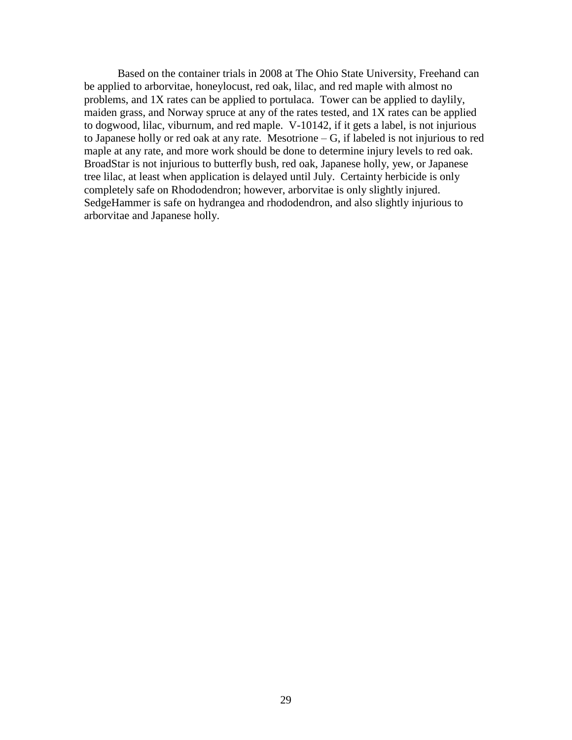Based on the container trials in 2008 at The Ohio State University, Freehand can be applied to arborvitae, honeylocust, red oak, lilac, and red maple with almost no problems, and 1X rates can be applied to portulaca. Tower can be applied to daylily, maiden grass, and Norway spruce at any of the rates tested, and 1X rates can be applied to dogwood, lilac, viburnum, and red maple. V-10142, if it gets a label, is not injurious to Japanese holly or red oak at any rate. Mesotrione – G, if labeled is not injurious to red maple at any rate, and more work should be done to determine injury levels to red oak. BroadStar is not injurious to butterfly bush, red oak, Japanese holly, yew, or Japanese tree lilac, at least when application is delayed until July. Certainty herbicide is only completely safe on Rhododendron; however, arborvitae is only slightly injured. SedgeHammer is safe on hydrangea and rhododendron, and also slightly injurious to arborvitae and Japanese holly.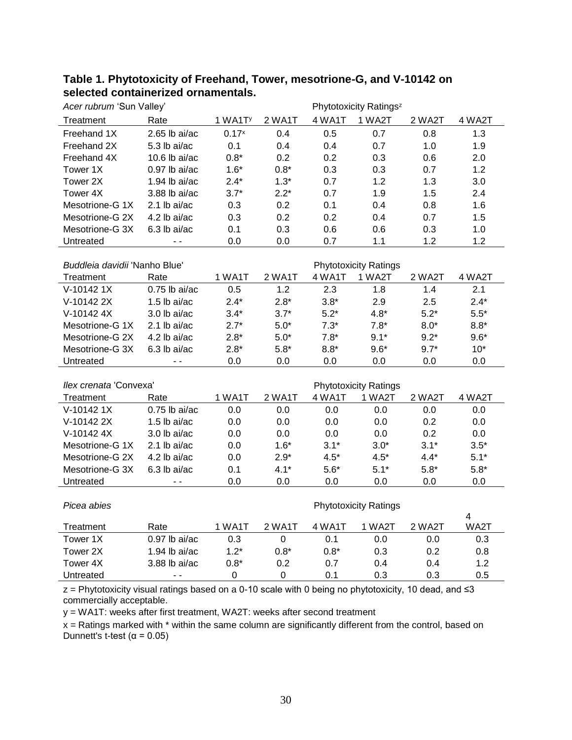| Acer rubrum 'Sun Valley'      |                 | Phytotoxicity Ratings <sup>z</sup> |               |        |                              |        |                        |  |  |
|-------------------------------|-----------------|------------------------------------|---------------|--------|------------------------------|--------|------------------------|--|--|
| Treatment                     | Rate            | 1 WA1TY                            | 2 WA1T        | 4 WA1T | 1 WA2T                       | 2 WA2T | 4 WA2T                 |  |  |
| Freehand 1X                   | $2.65$ lb ai/ac | $0.17^{x}$                         | 0.4           | 0.5    | 0.7                          | 0.8    | 1.3                    |  |  |
| Freehand 2X                   | 5.3 lb ai/ac    | 0.1                                | 0.4           | 0.4    | 0.7                          | 1.0    | 1.9                    |  |  |
| Freehand 4X                   | 10.6 lb $ai/ac$ | $0.8*$                             | 0.2           | 0.2    | 0.3                          | 0.6    | 2.0                    |  |  |
| Tower 1X                      | $0.97$ lb ai/ac | $1.6*$                             | $0.8*$        | 0.3    | 0.3                          | 0.7    | 1.2                    |  |  |
| Tower 2X                      | $1.94$ lb ai/ac | $2.4*$                             | $1.3*$        | 0.7    | 1.2                          | 1.3    | 3.0                    |  |  |
| Tower 4X                      | 3.88 lb ai/ac   | $3.7*$                             | $2.2*$        | 0.7    | 1.9                          | 1.5    | 2.4                    |  |  |
| Mesotrione-G 1X               | $2.1$ lb ai/ac  | 0.3                                | 0.2           | 0.1    | 0.4                          | 0.8    | 1.6                    |  |  |
| Mesotrione-G 2X               | 4.2 lb ai/ac    | 0.3                                | 0.2           | 0.2    | 0.4                          | 0.7    | 1.5                    |  |  |
| Mesotrione-G 3X               | 6.3 lb ai/ac    | 0.1                                | 0.3           | 0.6    | 0.6                          | 0.3    | 1.0                    |  |  |
| Untreated                     | $\overline{a}$  | 0.0                                | 0.0           | 0.7    | 1.1                          | 1.2    | 1.2                    |  |  |
|                               |                 |                                    |               |        |                              |        |                        |  |  |
| Buddleia davidii 'Nanho Blue' |                 |                                    |               |        | <b>Phytotoxicity Ratings</b> |        |                        |  |  |
| Treatment                     | Rate            | 1 WA1T                             | 2 WA1T        | 4 WA1T | 1 WA2T                       | 2 WA2T | 4 WA2T                 |  |  |
| V-10142 1X                    | $0.75$ lb ai/ac | 0.5                                | 1.2           | 2.3    | 1.8                          | 1.4    | 2.1                    |  |  |
| V-10142 2X                    | 1.5 lb ai/ac    | $2.4*$                             | $2.8*$        | $3.8*$ | 2.9                          | 2.5    | $2.4*$                 |  |  |
| V-10142 4X                    | 3.0 lb ai/ac    | $3.4*$                             | $3.7*$        | $5.2*$ | $4.8*$                       | $5.2*$ | $5.5*$                 |  |  |
| Mesotrione-G 1X               | 2.1 lb ai/ac    | $2.7*$                             | $5.0^{\ast}$  | $7.3*$ | $7.8*$                       | $8.0*$ | $8.8*$                 |  |  |
| Mesotrione-G 2X               | 4.2 lb ai/ac    | $2.8*$                             | $5.0^{\star}$ | $7.8*$ | $9.1*$                       | $9.2*$ | $9.6*$                 |  |  |
| Mesotrione-G 3X               | 6.3 lb ai/ac    | $2.8*$                             | $5.8*$        | $8.8*$ | $9.6*$                       | $9.7*$ | $10*$                  |  |  |
| Untreated                     | $-$             | 0.0                                | 0.0           | 0.0    | 0.0                          | 0.0    | 0.0                    |  |  |
|                               |                 |                                    |               |        |                              |        |                        |  |  |
| llex crenata 'Convexa'        |                 |                                    |               |        | <b>Phytotoxicity Ratings</b> |        |                        |  |  |
| Treatment                     | Rate            | 1 WA1T                             | 2 WA1T        | 4 WA1T | 1 WA2T                       | 2 WA2T | 4 WA2T                 |  |  |
| V-10142 1X                    | $0.75$ lb ai/ac | 0.0                                | 0.0           | 0.0    | 0.0                          | 0.0    | 0.0                    |  |  |
| V-10142 2X                    | 1.5 lb ai/ac    | 0.0                                | 0.0           | 0.0    | 0.0                          | 0.2    | 0.0                    |  |  |
| V-10142 4X                    | 3.0 lb ai/ac    | 0.0                                | 0.0           | 0.0    | 0.0                          | 0.2    | $0.0\,$                |  |  |
| Mesotrione-G 1X               | 2.1 lb ai/ac    | 0.0                                | $1.6*$        | $3.1*$ | $3.0*$                       | $3.1*$ | $3.5*$                 |  |  |
| Mesotrione-G 2X               | 4.2 lb ai/ac    | 0.0                                | $2.9*$        | $4.5*$ | $4.5*$                       | $4.4*$ | $5.1*$                 |  |  |
| Mesotrione-G 3X               | 6.3 lb ai/ac    | 0.1                                | $4.1*$        | $5.6*$ | $5.1*$                       | $5.8*$ | $5.8*$                 |  |  |
| Untreated                     | $-$             | 0.0                                | 0.0           | 0.0    | 0.0                          | 0.0    | 0.0                    |  |  |
|                               |                 |                                    |               |        |                              |        |                        |  |  |
| Picea abies                   |                 |                                    |               |        | <b>Phytotoxicity Ratings</b> |        |                        |  |  |
|                               |                 | 1 WA1T                             | 2 WA1T        | 4 WA1T | 1 WA2T                       | 2 WA2T | $\overline{4}$<br>WA2T |  |  |
| Treatment                     | Rate            |                                    |               |        |                              |        |                        |  |  |
| Tower 1X                      | $0.97$ lb ai/ac | 0.3                                | 0             | 0.1    | 0.0                          | 0.0    | 0.3                    |  |  |
| Tower 2X                      | 1.94 lb $ai/ac$ | $1.2*$                             | $0.8^\star$   | $0.8*$ | 0.3                          | 0.2    | 0.8                    |  |  |
| Tower 4X<br>Untreated         | 3.88 lb ai/ac   | $0.8*$                             | 0.2           | 0.7    | 0.4                          | 0.4    | 1.2                    |  |  |
|                               | $\sim$ $\sim$   | $\boldsymbol{0}$                   | $\mathbf 0$   | 0.1    | 0.3                          | 0.3    | 0.5                    |  |  |

### **Table 1. Phytotoxicity of Freehand, Tower, mesotrione-G, and V-10142 on selected containerized ornamentals.**

z = Phytotoxicity visual ratings based on a 0-10 scale with 0 being no phytotoxicity, 10 dead, and ≤3 commercially acceptable.

y = WA1T: weeks after first treatment, WA2T: weeks after second treatment

 $x =$  Ratings marked with  $*$  within the same column are significantly different from the control, based on Dunnett's t-test ( $\alpha$  = 0.05)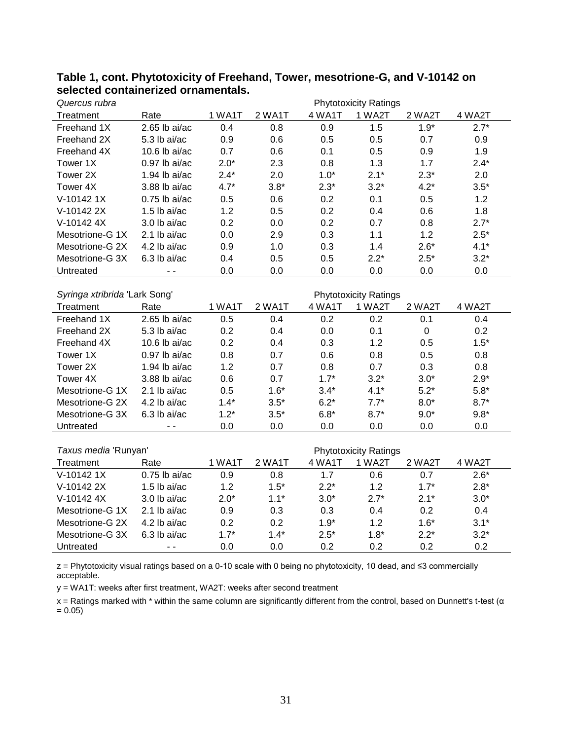| Quercus rubra                 |                 | <b>Phytotoxicity Ratings</b> |        |        |                              |                  |        |  |  |
|-------------------------------|-----------------|------------------------------|--------|--------|------------------------------|------------------|--------|--|--|
| Treatment                     | Rate            | 1 WA1T                       | 2 WA1T | 4 WA1T | 1 WA2T                       | 2 WA2T           | 4 WA2T |  |  |
| Freehand 1X                   | $2.65$ lb ai/ac | 0.4                          | 0.8    | 0.9    | 1.5                          | $1.9*$           | $2.7*$ |  |  |
| Freehand 2X                   | 5.3 lb ai/ac    | 0.9                          | 0.6    | 0.5    | 0.5                          | 0.7              | 0.9    |  |  |
| Freehand 4X                   | 10.6 lb $ai/ac$ | 0.7                          | 0.6    | 0.1    | 0.5                          | 0.9              | 1.9    |  |  |
| Tower 1X                      | $0.97$ lb ai/ac | $2.0*$                       | 2.3    | 0.8    | 1.3                          | 1.7              | $2.4*$ |  |  |
| Tower 2X                      | 1.94 lb ai/ac   | $2.4*$                       | 2.0    | $1.0*$ | $2.1*$                       | $2.3*$           | 2.0    |  |  |
| Tower 4X                      | 3.88 lb ai/ac   | $4.7*$                       | $3.8*$ | $2.3*$ | $3.2*$                       | $4.2*$           | $3.5*$ |  |  |
| V-10142 1X                    | $0.75$ lb ai/ac | 0.5                          | 0.6    | 0.2    | 0.1                          | 0.5              | 1.2    |  |  |
| V-10142 2X                    | $1.5$ lb ai/ac  | 1.2                          | 0.5    | 0.2    | 0.4                          | 0.6              | 1.8    |  |  |
| V-10142 4X                    | 3.0 lb ai/ac    | 0.2                          | 0.0    | 0.2    | 0.7                          | 0.8              | $2.7*$ |  |  |
| Mesotrione-G 1X               | 2.1 lb $ai/ac$  | 0.0                          | 2.9    | 0.3    | 1.1                          | 1.2              | $2.5*$ |  |  |
| Mesotrione-G 2X               | 4.2 lb ai/ac    | 0.9                          | 1.0    | 0.3    | 1.4                          | $2.6*$           | $4.1*$ |  |  |
| Mesotrione-G 3X               | 6.3 lb ai/ac    | 0.4                          | 0.5    | 0.5    | $2.2*$                       | $2.5*$           | $3.2*$ |  |  |
| Untreated                     |                 | 0.0                          | 0.0    | 0.0    | 0.0                          | 0.0              | 0.0    |  |  |
|                               |                 |                              |        |        |                              |                  |        |  |  |
| Syringa xtribrida 'Lark Song' |                 | <b>Phytotoxicity Ratings</b> |        |        |                              |                  |        |  |  |
| Treatment                     | Rate            | 1 WA1T                       | 2 WA1T | 4 WA1T | 1 WA2T                       | 2 WA2T           | 4 WA2T |  |  |
| Freehand 1X                   | $2.65$ lb ai/ac | 0.5                          | 0.4    | 0.2    | 0.2                          | 0.1              | 0.4    |  |  |
| Freehand 2X                   | 5.3 lb ai/ac    | 0.2                          | 0.4    | 0.0    | 0.1                          | $\boldsymbol{0}$ | 0.2    |  |  |
| Freehand 4X                   | 10.6 lb $ai/ac$ | 0.2                          | 0.4    | 0.3    | 1.2                          | 0.5              | $1.5*$ |  |  |
| Tower 1X                      | $0.97$ lb ai/ac | 0.8                          | 0.7    | 0.6    | 0.8                          | 0.5              | 0.8    |  |  |
| Tower 2X                      | 1.94 lb $ai/ac$ | 1.2                          | 0.7    | 0.8    | 0.7                          | 0.3              | 0.8    |  |  |
| Tower 4X                      | 3.88 lb ai/ac   | 0.6                          | 0.7    | $1.7*$ | $3.2*$                       | $3.0*$           | $2.9*$ |  |  |
| Mesotrione-G 1X               | 2.1 lb ai/ac    | 0.5                          | $1.6*$ | $3.4*$ | $4.1*$                       | $5.2*$           | $5.8*$ |  |  |
| Mesotrione-G 2X               | 4.2 lb ai/ac    | $1.4*$                       | $3.5*$ | $6.2*$ | $7.7*$                       | $8.0*$           | $8.7*$ |  |  |
| Mesotrione-G 3X               | 6.3 lb ai/ac    | $1.2*$                       | $3.5*$ | $6.8*$ | $8.7*$                       | $9.0*$           | $9.8*$ |  |  |
| Untreated                     |                 | 0.0                          | 0.0    | 0.0    | 0.0                          | 0.0              | 0.0    |  |  |
|                               |                 |                              |        |        |                              |                  |        |  |  |
| Taxus media 'Runyan'          |                 |                              |        |        | <b>Phytotoxicity Ratings</b> |                  |        |  |  |
| Treatment                     | Rate            | 1 WA1T                       | 2 WA1T | 4 WA1T | 1 WA2T                       | 2 WA2T           | 4 WA2T |  |  |
| V-10142 1X                    | $0.75$ lb ai/ac | 0.9                          | 0.8    | 1.7    | 0.6                          | 0.7              | $2.6*$ |  |  |
| V-10142 2X                    | $1.5$ lb ai/ac  | 1.2                          | $1.5*$ | $2.2*$ | 1.2                          | $1.7*$           | $2.8*$ |  |  |

### **Table 1, cont. Phytotoxicity of Freehand, Tower, mesotrione-G, and V-10142 on selected containerized ornamentals.**

z = Phytotoxicity visual ratings based on a 0-10 scale with 0 being no phytotoxicity, 10 dead, and ≤3 commercially acceptable.

V-10142 4X 3.0 lb ai/ac 2.0\* 1.1\* 3.0\* 2.7\* 2.1\* 3.0\* Mesotrione-G 1X 2.1 lb ai/ac 0.9 0.3 0.3 0.4 0.2 0.4 Mesotrione-G 2X 4.2 lb ai/ac 0.2 0.2 1.9\* 1.2 1.6\* 3.1\* Mesotrione-G 3X 6.3 lb ai/ac  $1.7^*$   $1.4^*$   $2.5^*$   $1.8^*$   $2.2^*$   $3.2^*$ Untreated  $\qquad \qquad - - \qquad \qquad 0.0 \qquad \qquad 0.0 \qquad \qquad 0.2 \qquad \qquad 0.2 \qquad \qquad 0.2 \qquad \qquad 0.2$ 

y = WA1T: weeks after first treatment, WA2T: weeks after second treatment

x = Ratings marked with \* within the same column are significantly different from the control, based on Dunnett's t-test (α  $= 0.05$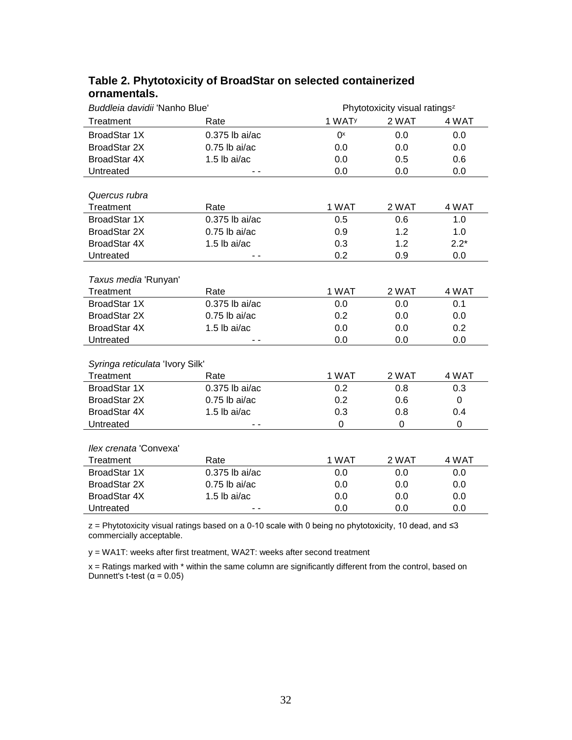| Buddleia davidii 'Nanho Blue'   |                  |                    | Phytotoxicity visual ratings <sup>z</sup> |             |  |  |  |
|---------------------------------|------------------|--------------------|-------------------------------------------|-------------|--|--|--|
| Treatment                       | Rate             | 1 WAT <sup>y</sup> | 2 WAT                                     | 4 WAT       |  |  |  |
| <b>BroadStar 1X</b>             | $0.375$ lb ai/ac | $0^x$              | 0.0                                       | 0.0         |  |  |  |
| <b>BroadStar 2X</b>             | $0.75$ lb ai/ac  | 0.0                | 0.0                                       | 0.0         |  |  |  |
| <b>BroadStar 4X</b>             | 1.5 lb ai/ac     | 0.0                | 0.5                                       | 0.6         |  |  |  |
| Untreated                       | $ -$             | 0.0                | 0.0                                       | 0.0         |  |  |  |
|                                 |                  |                    |                                           |             |  |  |  |
| Quercus rubra                   |                  |                    |                                           |             |  |  |  |
| Treatment                       | Rate             | 1 WAT              | 2 WAT                                     | 4 WAT       |  |  |  |
| <b>BroadStar 1X</b>             | 0.375 lb ai/ac   | 0.5                | 0.6                                       | 1.0         |  |  |  |
| <b>BroadStar 2X</b>             | $0.75$ lb ai/ac  | 0.9                | 1.2                                       | 1.0         |  |  |  |
| <b>BroadStar 4X</b>             | $1.5$ lb ai/ac   | 0.3                | 1.2                                       | $2.2*$      |  |  |  |
| Untreated                       |                  | 0.2                | 0.9                                       | 0.0         |  |  |  |
|                                 |                  |                    |                                           |             |  |  |  |
| Taxus media 'Runyan'            |                  |                    |                                           |             |  |  |  |
| Treatment                       | Rate             | 1 WAT              | 2 WAT                                     | 4 WAT       |  |  |  |
| <b>BroadStar 1X</b>             | 0.375 lb ai/ac   | 0.0                | 0.0                                       | 0.1         |  |  |  |
| <b>BroadStar 2X</b>             | $0.75$ lb ai/ac  | 0.2                | 0.0                                       | 0.0         |  |  |  |
| <b>BroadStar 4X</b>             | 1.5 lb ai/ac     | 0.0                | 0.0                                       | 0.2         |  |  |  |
| Untreated                       |                  | 0.0                | 0.0                                       | 0.0         |  |  |  |
|                                 |                  |                    |                                           |             |  |  |  |
| Syringa reticulata 'Ivory Silk' |                  |                    |                                           |             |  |  |  |
| Treatment                       | Rate             | 1 WAT              | 2 WAT                                     | 4 WAT       |  |  |  |
| BroadStar 1X                    | $0.375$ lb ai/ac | 0.2                | 0.8                                       | 0.3         |  |  |  |
| <b>BroadStar 2X</b>             | $0.75$ lb ai/ac  | 0.2                | 0.6                                       | 0           |  |  |  |
| <b>BroadStar 4X</b>             | 1.5 lb ai/ac     | 0.3                | 0.8                                       | 0.4         |  |  |  |
| Untreated                       |                  | $\mathbf 0$        | $\overline{0}$                            | $\mathbf 0$ |  |  |  |
|                                 |                  |                    |                                           |             |  |  |  |
| llex crenata 'Convexa'          |                  |                    |                                           |             |  |  |  |
| Treatment                       | Rate             | 1 WAT              | 2 WAT                                     | 4 WAT       |  |  |  |
| BroadStar 1X                    | 0.375 lb ai/ac   | 0.0                | 0.0                                       | 0.0         |  |  |  |
| <b>BroadStar 2X</b>             | $0.75$ lb ai/ac  | 0.0                | 0.0                                       | 0.0         |  |  |  |
| <b>BroadStar 4X</b>             | 1.5 lb ai/ac     | 0.0                | 0.0                                       | 0.0         |  |  |  |
| Untreated                       |                  | 0.0                | 0.0                                       | 0.0         |  |  |  |

# **Table 2. Phytotoxicity of BroadStar on selected containerized ornamentals.**

z = Phytotoxicity visual ratings based on a 0-10 scale with 0 being no phytotoxicity, 10 dead, and ≤3 commercially acceptable.

y = WA1T: weeks after first treatment, WA2T: weeks after second treatment

x = Ratings marked with \* within the same column are significantly different from the control, based on Dunnett's t-test ( $α = 0.05$ )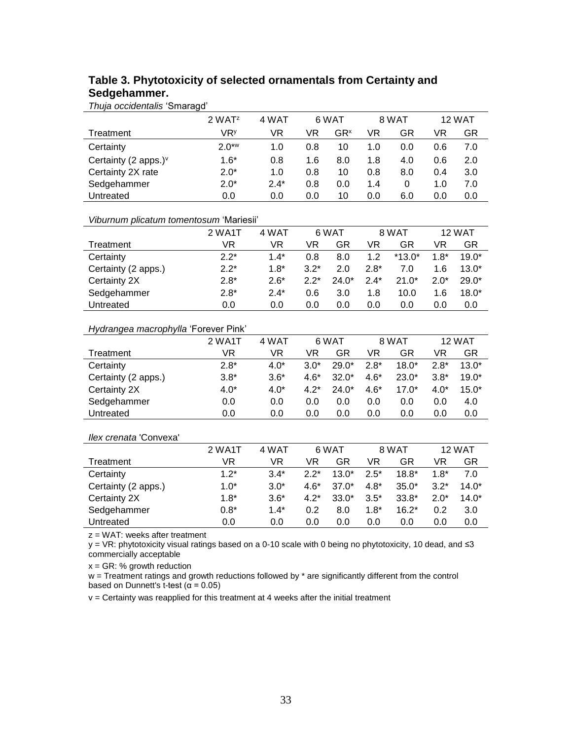## **Table 3. Phytotoxicity of selected ornamentals from Certainty and Sedgehammer.**

*Thuja occidentalis* 'Smaragd'

|                         | 2 WAT <sup>z</sup> | 4 WAT  |     | 6 WAT           |     | 8 WAT |     | 12 WAT |
|-------------------------|--------------------|--------|-----|-----------------|-----|-------|-----|--------|
| Treatment               | VR۶                | VR     | VR  | GR <sup>x</sup> | VR  | GR    | VR  | GR     |
| Certainty               | $2.0***$           | 1.0    | 0.8 | 10              | 1.0 | 0.0   | 0.6 | 7.0    |
| Certainty (2 apps.) $v$ | $1.6*$             | 0.8    | 1.6 | 8.0             | 1.8 | 4.0   | 0.6 | 2.0    |
| Certainty 2X rate       | $2.0*$             | 1.0    | 0.8 | 10              | 0.8 | 8.0   | 0.4 | 3.0    |
| Sedgehammer             | $2.0*$             | $2.4*$ | 0.8 | 0.0             | 1.4 | 0     | 1.0 | 7.0    |
| Untreated               | 0.0                | 0.0    | 0.0 | 10              | 0.0 | 6.0   | 0.0 | 0.0    |

#### *Viburnum plicatum tomentosum* 'Mariesii'

|                     | 2 WA1T | 4 WAT  |        | 6 WAT   | 8 WAT  |          | 12 WAT |         |
|---------------------|--------|--------|--------|---------|--------|----------|--------|---------|
| Treatment           | VR     | VR     | VR     | GR      | VR     | GR       | VR     | GR      |
| Certainty           | $2.2*$ | $1.4*$ | 0.8    | 8.0     | 1.2    | $*13.0*$ | $1.8*$ | $19.0*$ |
| Certainty (2 apps.) | $2.2*$ | $1.8*$ | $3.2*$ | 2.0     | $2.8*$ | 7.0      | 1.6    | $13.0*$ |
| Certainty 2X        | $2.8*$ | $2.6*$ | $2.2*$ | $24.0*$ | $2.4*$ | $21.0*$  | $2.0*$ | $29.0*$ |
| Sedgehammer         | $2.8*$ | $24*$  | 0.6    | 3.0     | 1.8    | 10.0     | 1.6    | $18.0*$ |
| Untreated           | 0.0    | 0.0    | 0.0    | 0.0     | 0.0    | 0.0      | 0.0    | 0.0     |

#### *Hydrangea macrophylla* 'Forever Pink'

|                     | 2 WA1T | 4 WAT  | 6 WAT  |         | 8 WAT  |         | 12 WAT |         |
|---------------------|--------|--------|--------|---------|--------|---------|--------|---------|
| Treatment           | VR     | VR     | VR     | GR      | VR     | GR      | VR     | GR      |
| Certainty           | $2.8*$ | $4.0*$ | $3.0*$ | $29.0*$ | $2.8*$ | $18.0*$ | $2.8*$ | $13.0*$ |
| Certainty (2 apps.) | $3.8*$ | $3.6*$ | $4.6*$ | $32.0*$ | $4.6*$ | $23.0*$ | $3.8*$ | $19.0*$ |
| Certainty 2X        | $4.0*$ | $4.0*$ | $4.2*$ | $24.0*$ | $4.6*$ | $17.0*$ | $4.0*$ | $15.0*$ |
| Sedgehammer         | 0.0    | 0.0    | 0.0    | 0.0     | 0.0    | 0.0     | 0.0    | 4.0     |
| Untreated           | 0.0    | 0.0    | 0.0    | 0.0     | 0.0    | 0.0     | 0.0    | 0.0     |

#### *Ilex crenata* 'Convexa'

|                     | 2 WA1T | 4 WAT  | 6 WAT  |         | 8 WAT  |         |        | <b>12 WAT</b> |
|---------------------|--------|--------|--------|---------|--------|---------|--------|---------------|
| Treatment           | VR     | VR     | VR     | GR      | VR     | GR      | VR     | GR            |
| Certainty           | $1.2*$ | $3.4*$ | $2.2*$ | $13.0*$ | $2.5*$ | $18.8*$ | $1.8*$ | 7.0           |
| Certainty (2 apps.) | $1.0*$ | $3.0*$ | 4 6*   | $37.0*$ | $4.8*$ | $35.0*$ | $3.2*$ | $14.0*$       |
| Certainty 2X        | $1.8*$ | $3.6*$ | $4.2*$ | $33.0*$ | $3.5*$ | $33.8*$ | $2.0*$ | $14.0*$       |
| Sedgehammer         | $0.8*$ | $1.4*$ | 0.2    | 8.0     | $1.8*$ | $16.2*$ | 0.2    | 3.0           |
| Untreated           | 0.0    | 0.0    | 0.0    | 0.0     | 0.0    | 0.0     | 0.0    | 0.0           |

z = WAT: weeks after treatment

y = VR: phytotoxicity visual ratings based on a 0-10 scale with 0 being no phytotoxicity, 10 dead, and ≤3 commercially acceptable

 $x = GR$ : % growth reduction

 $w =$  Treatment ratings and growth reductions followed by  $*$  are significantly different from the control based on Dunnett's t-test ( $\alpha$  = 0.05)

 $v =$  Certainty was reapplied for this treatment at 4 weeks after the initial treatment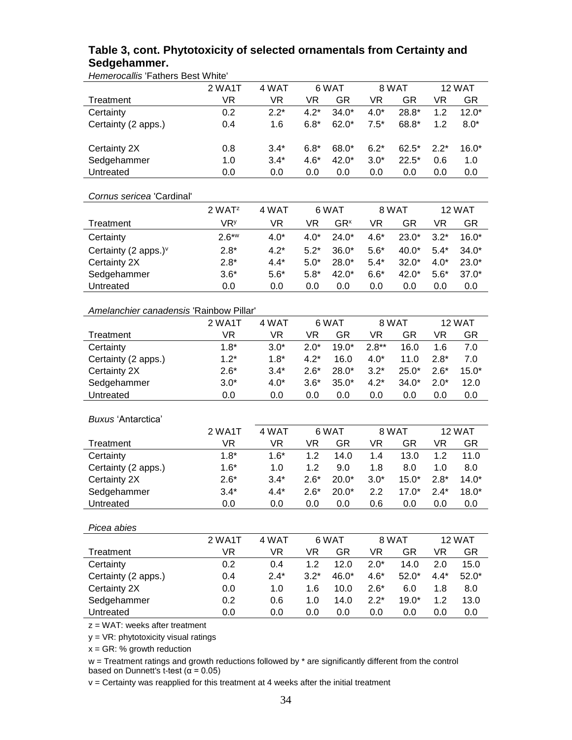## **Table 3, cont. Phytotoxicity of selected ornamentals from Certainty and Sedgehammer.**

*Hemerocallis* 'Fathers Best White'

| <u>Homorooding</u> Fathold Doot         | 2 WA1T                 | 4 WAT     |           | 6 WAT           |           | 8 WAT     | 12 WAT    |           |
|-----------------------------------------|------------------------|-----------|-----------|-----------------|-----------|-----------|-----------|-----------|
| Treatment                               | <b>VR</b>              | <b>VR</b> | <b>VR</b> | <b>GR</b>       | <b>VR</b> | <b>GR</b> | <b>VR</b> | <b>GR</b> |
| Certainty                               | 0.2                    | $2.2*$    | $4.2*$    | $34.0*$         | $4.0*$    | 28.8*     | 1.2       | $12.0*$   |
|                                         | 0.4                    | 1.6       | $6.8*$    | $62.0*$         | $7.5*$    | 68.8*     | 1.2       | $8.0*$    |
| Certainty (2 apps.)                     |                        |           |           |                 |           |           |           |           |
|                                         |                        |           |           | 68.0*           | $6.2*$    |           |           | $16.0*$   |
| Certainty 2X                            | 0.8                    | $3.4*$    | $6.8*$    |                 |           | $62.5*$   | $2.2*$    |           |
| Sedgehammer                             | 1.0                    | $3.4*$    | $4.6*$    | 42.0*           | $3.0*$    | $22.5*$   | 0.6       | 1.0       |
| Untreated                               | 0.0                    | 0.0       | 0.0       | 0.0             | 0.0       | 0.0       | 0.0       | 0.0       |
|                                         |                        |           |           |                 |           |           |           |           |
| Cornus sericea 'Cardinal'               |                        |           |           |                 |           |           |           |           |
|                                         | 2 WATZ                 | 4 WAT     |           | 6 WAT           |           | 8 WAT     |           | 12 WAT    |
| Treatment                               | <b>VR</b> <sup>y</sup> | <b>VR</b> | <b>VR</b> | GR <sup>x</sup> | <b>VR</b> | <b>GR</b> | <b>VR</b> | GR        |
| Certainty                               | $2.6***$               | $4.0*$    | $4.0*$    | $24.0*$         | $4.6*$    | $23.0*$   | $3.2*$    | $16.0*$   |
| Certainty (2 apps.) <sup>v</sup>        | $2.8*$                 | $4.2*$    | $5.2*$    | $36.0*$         | $5.6*$    | 40.0*     | $5.4*$    | $34.0*$   |
| Certainty 2X                            | $2.8*$                 | $4.4*$    | $5.0*$    | $28.0*$         | $5.4*$    | $32.0*$   | $4.0*$    | $23.0*$   |
| Sedgehammer                             | $3.6*$                 | $5.6*$    | $5.8*$    | 42.0*           | $6.6*$    | 42.0*     | $5.6*$    | $37.0*$   |
| Untreated                               | 0.0                    | 0.0       | 0.0       | 0.0             | 0.0       | 0.0       | 0.0       | 0.0       |
|                                         |                        |           |           |                 |           |           |           |           |
| Amelanchier canadensis 'Rainbow Pillar' |                        |           |           |                 |           |           |           |           |
|                                         | 2 WA1T                 | 4 WAT     |           | 6 WAT           |           | 8 WAT     |           | 12 WAT    |
| Treatment                               | <b>VR</b>              | VR.       | <b>VR</b> | <b>GR</b>       | VR        | <b>GR</b> | <b>VR</b> | GR        |
| Certainty                               | $1.8*$                 | $3.0*$    | $2.0*$    | $19.0*$         | $2.8**$   | 16.0      | 1.6       | 7.0       |
| Certainty (2 apps.)                     | $1.2*$                 | $1.8*$    | $4.2*$    | 16.0            | $4.0*$    | 11.0      | $2.8*$    | 7.0       |
| Certainty 2X                            | $2.6*$                 | $3.4*$    | $2.6*$    | $28.0*$         | $3.2*$    | $25.0*$   | $2.6*$    | $15.0*$   |
| Sedgehammer                             | $3.0*$                 | $4.0*$    | $3.6*$    | $35.0*$         | $4.2*$    | $34.0*$   | $2.0*$    | 12.0      |
| Untreated                               | 0.0                    | 0.0       | 0.0       | 0.0             | 0.0       | 0.0       | 0.0       | 0.0       |
|                                         |                        |           |           |                 |           |           |           |           |
| Buxus 'Antarctica'                      |                        |           |           |                 |           |           |           |           |
|                                         | 2 WA1T                 | 4 WAT     |           | 6 WAT           |           | 8 WAT     |           | 12 WAT    |
| Treatment                               | <b>VR</b>              | <b>VR</b> | VR        | <b>GR</b>       | <b>VR</b> | <b>GR</b> | <b>VR</b> | <b>GR</b> |
| Certainty                               | $1.8*$                 | $1.6*$    | 1.2       | 14.0            | 1.4       | 13.0      | 1.2       | 11.0      |
| Certainty (2 apps.)                     | $1.6*$                 | 1.0       | 1.2       | 9.0             | 1.8       | 8.0       | 1.0       | 8.0       |
| Certainty 2X                            | $2.6*$                 | $3.4*$    | $2.6*$    | $20.0*$         | $3.0*$    | $15.0*$   | $2.8*$    | $14.0*$   |
| Sedgehammer                             | $3.4*$                 | $4.4*$    | $2.6*$    | $20.0*$         | 2.2       | $17.0*$   | $2.4*$    | $18.0*$   |
| Untreated                               | 0.0                    | 0.0       | 0.0       | 0.0             | 0.6       | 0.0       | 0.0       | 0.0       |
|                                         |                        |           |           |                 |           |           |           |           |
| Picea abies                             |                        |           |           |                 |           |           |           |           |
|                                         | 2 WA1T                 | 4 WAT     |           | 6 WAT           |           | 8 WAT     |           | 12 WAT    |
| Treatment                               | <b>VR</b>              | <b>VR</b> | VR        | <b>GR</b>       | <b>VR</b> | <b>GR</b> | <b>VR</b> | <b>GR</b> |
| Certainty                               | 0.2                    | 0.4       | 1.2       | 12.0            | $2.0*$    | 14.0      | 2.0       | 15.0      |
| Certainty (2 apps.)                     | 0.4                    | $2.4*$    | $3.2*$    | 46.0*           | $4.6*$    | $52.0*$   | $4.4*$    | $52.0*$   |
| Certainty 2X                            | 0.0                    | 1.0       | 1.6       | 10.0            | $2.6*$    | 6.0       | 1.8       | 8.0       |
|                                         | 0.2                    | 0.6       | 1.0       | 14.0            | $2.2*$    | $19.0*$   | 1.2       | 13.0      |
| Sedgehammer<br>Untreated                | 0.0                    | 0.0       |           | 0.0             |           |           |           |           |
|                                         |                        |           | 0.0       |                 | 0.0       | 0.0       | 0.0       | 0.0       |
| $z = WAT$ : weeks after treatment       |                        |           |           |                 |           |           |           |           |

y = VR: phytotoxicity visual ratings

 $x = GR$ : % growth reduction

 $w =$  Treatment ratings and growth reductions followed by  $*$  are significantly different from the control based on Dunnett's t-test ( $\alpha$  = 0.05)

 $v =$  Certainty was reapplied for this treatment at 4 weeks after the initial treatment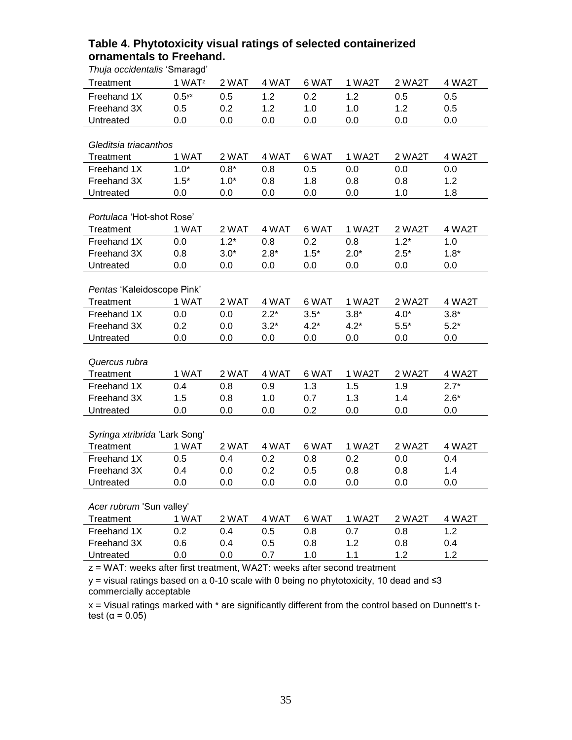| Thuja occidentalis 'Smaragd'  |                     |        |        |        |        |        |        |  |  |
|-------------------------------|---------------------|--------|--------|--------|--------|--------|--------|--|--|
| Treatment                     | 1 WAT <sup>z</sup>  | 2 WAT  | 4 WAT  | 6 WAT  | 1 WA2T | 2 WA2T | 4 WA2T |  |  |
| Freehand 1X                   | $0.5$ <sup>yx</sup> | 0.5    | 1.2    | 0.2    | 1.2    | 0.5    | 0.5    |  |  |
| Freehand 3X                   | 0.5                 | 0.2    | 1.2    | 1.0    | 1.0    | 1.2    | 0.5    |  |  |
| Untreated                     | 0.0                 | 0.0    | 0.0    | 0.0    | 0.0    | 0.0    | 0.0    |  |  |
|                               |                     |        |        |        |        |        |        |  |  |
| Gleditsia triacanthos         |                     |        |        |        |        |        |        |  |  |
| Treatment                     | 1 WAT               | 2 WAT  | 4 WAT  | 6 WAT  | 1 WA2T | 2 WA2T | 4 WA2T |  |  |
| Freehand 1X                   | $1.0*$              | $0.8*$ | 0.8    | 0.5    | 0.0    | 0.0    | 0.0    |  |  |
| Freehand 3X                   | $1.5*$              | $1.0*$ | 0.8    | 1.8    | 0.8    | 0.8    | 1.2    |  |  |
| Untreated                     | 0.0                 | 0.0    | 0.0    | 0.0    | 0.0    | 1.0    | 1.8    |  |  |
|                               |                     |        |        |        |        |        |        |  |  |
| Portulaca 'Hot-shot Rose'     |                     |        |        |        |        |        |        |  |  |
| Treatment                     | 1 WAT               | 2 WAT  | 4 WAT  | 6 WAT  | 1 WA2T | 2 WA2T | 4 WA2T |  |  |
| Freehand 1X                   | 0.0                 | $1.2*$ | 0.8    | 0.2    | 0.8    | $1.2*$ | 1.0    |  |  |
| Freehand 3X                   | 0.8                 | $3.0*$ | $2.8*$ | $1.5*$ | $2.0*$ | $2.5*$ | $1.8*$ |  |  |
| Untreated                     | 0.0                 | 0.0    | 0.0    | 0.0    | 0.0    | 0.0    | 0.0    |  |  |
|                               |                     |        |        |        |        |        |        |  |  |
| Pentas 'Kaleidoscope Pink'    |                     |        |        |        |        |        |        |  |  |
| Treatment                     | 1 WAT               | 2 WAT  | 4 WAT  | 6 WAT  | 1 WA2T | 2 WA2T | 4 WA2T |  |  |
| Freehand 1X                   | 0.0                 | 0.0    | $2.2*$ | $3.5*$ | $3.8*$ | $4.0*$ | $3.8*$ |  |  |
| Freehand 3X                   | 0.2                 | 0.0    | $3.2*$ | $4.2*$ | $4.2*$ | $5.5*$ | $5.2*$ |  |  |
| Untreated                     | 0.0                 | 0.0    | 0.0    | 0.0    | 0.0    | 0.0    | 0.0    |  |  |
|                               |                     |        |        |        |        |        |        |  |  |
| Quercus rubra                 |                     |        |        |        |        |        |        |  |  |
| Treatment                     | 1 WAT               | 2 WAT  | 4 WAT  | 6 WAT  | 1 WA2T | 2 WA2T | 4 WA2T |  |  |
| Freehand 1X                   | 0.4                 | 0.8    | 0.9    | 1.3    | 1.5    | 1.9    | $2.7*$ |  |  |
| Freehand 3X                   | 1.5                 | 0.8    | 1.0    | 0.7    | 1.3    | 1.4    | $2.6*$ |  |  |
| Untreated                     | 0.0                 | 0.0    | 0.0    | 0.2    | 0.0    | 0.0    | 0.0    |  |  |
| Syringa xtribrida 'Lark Song' |                     |        |        |        |        |        |        |  |  |
| Treatment                     | 1 WAT               | 2 WAT  | 4 WAT  | 6 WAT  | 1 WA2T | 2 WA2T | 4 WA2T |  |  |
| Freehand 1X                   | 0.5                 | 0.4    | 0.2    | 0.8    | 0.2    | 0.0    | 0.4    |  |  |
| Freehand 3X                   | 0.4                 | 0.0    | 0.2    | 0.5    | 0.8    | 0.8    | 1.4    |  |  |
| Untreated                     | 0.0                 | 0.0    | 0.0    | 0.0    | 0.0    | 0.0    | 0.0    |  |  |
|                               |                     |        |        |        |        |        |        |  |  |
| Acer rubrum 'Sun valley'      |                     |        |        |        |        |        |        |  |  |
| Treatment                     | 1 WAT               | 2 WAT  | 4 WAT  | 6 WAT  | 1 WA2T | 2 WA2T | 4 WA2T |  |  |
| Freehand 1X                   | 0.2                 | 0.4    | 0.5    | 0.8    | 0.7    | 0.8    | 1.2    |  |  |
| Freehand 3X                   | 0.6                 | 0.4    | 0.5    | 0.8    | 1.2    | 0.8    | 0.4    |  |  |
| Untreated                     | 0.0                 | 0.0    | 0.7    | 1.0    | 1.1    | 1.2    | 1.2    |  |  |
|                               |                     |        |        |        |        |        |        |  |  |

# **Table 4. Phytotoxicity visual ratings of selected containerized ornamentals to Freehand.**

z = WAT: weeks after first treatment, WA2T: weeks after second treatment

y = visual ratings based on a 0-10 scale with 0 being no phytotoxicity, 10 dead and ≤3 commercially acceptable

 $x =$  Visual ratings marked with  $*$  are significantly different from the control based on Dunnett's ttest ( $\alpha$  = 0.05)